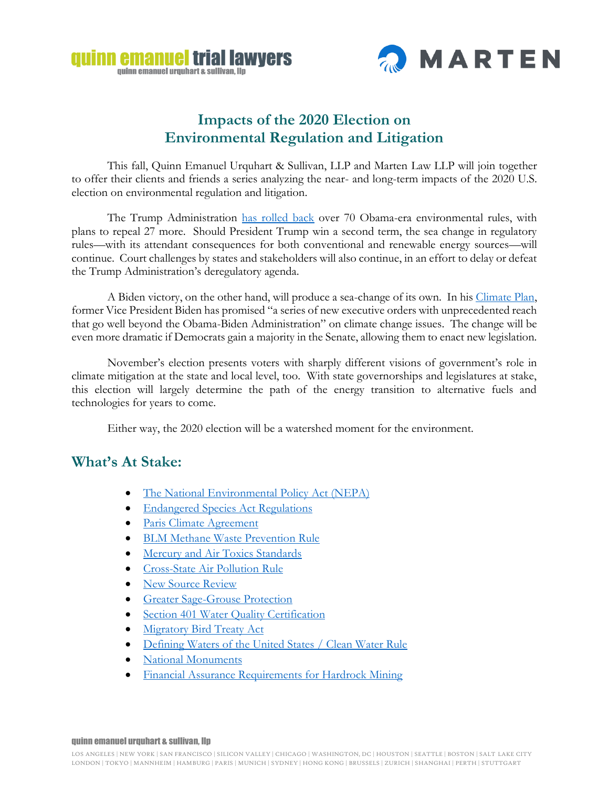



## **Impacts of the 2020 Election on Environmental Regulation and Litigation**

This fall, Quinn Emanuel Urquhart & Sullivan, LLP and Marten Law LLP will join together to offer their clients and friends a series analyzing the near- and long-term impacts of the 2020 U.S. election on environmental regulation and litigation.

The Trump Administration [has rolled back](https://www.nytimes.com/interactive/2020/climate/trump-environment-rollbacks.html) over 70 Obama-era environmental rules, with plans to repeal 27 more. Should President Trump win a second term, the sea change in regulatory rules—with its attendant consequences for both conventional and renewable energy sources—will continue. Court challenges by states and stakeholders will also continue, in an effort to delay or defeat the Trump Administration's deregulatory agenda.

A Biden victory, on the other hand, will produce a sea-change of its own. In his [Climate Plan,](https://joebiden.com/climate-plan/) former Vice President Biden has promised "a series of new executive orders with unprecedented reach that go well beyond the Obama-Biden Administration" on climate change issues. The change will be even more dramatic if Democrats gain a majority in the Senate, allowing them to enact new legislation.

November's election presents voters with sharply different visions of government's role in climate mitigation at the state and local level, too. With state governorships and legislatures at stake, this election will largely determine the path of the energy transition to alternative fuels and technologies for years to come.

Either way, the 2020 election will be a watershed moment for the environment.

### **What's At Stake:**

- The National Environmental Policy Act (NEPA)
- [Endangered Species Act Regulations](https://eelp.law.harvard.edu/2018/07/endangered-species-act-regulations/)
- [Paris Climate Agreement](https://eelp.law.harvard.edu/2017/09/paris-climate-agreement/)
- [BLM Methane Waste Prevention Rule](http://eelp.law.harvard.edu/2018/10/bam-methane-waste-prevention-rule/)
- [Mercury and Air Toxics Standards](http://eelp.law.harvard.edu/2018/09/mercury-and-air-toxics-standards/)
- **[Cross-State Air Pollution Rule](http://eelp.law.harvard.edu/2017/09/cross-state-air-pollution-rule-and-section-126-petitions/)**
- [New Source Review](http://eelp.law.harvard.edu/2018/12/new-source-review/)
- **[Greater Sage-Grouse Protection](http://eelp.law.harvard.edu/2018/09/greater-sage-grouse-protection/)**
- [Section 401 Water Quality Certification](https://eelp.law.harvard.edu/2019/10/section-401-water-quality-certification/)
- [Migratory Bird Treaty](http://eelp.law.harvard.edu/2018/09/migratory-bird-treaty-act/) Act
- [Defining Waters of the United States / Clean Water Rule](http://eelp.law.harvard.edu/2018/09/defining-waters-of-the-united-states-clean-water-rule/)
- [National Monuments](http://eelp.law.harvard.edu/2018/10/national-monuments-marine-national-monuments-and-marine-sanctuaries/)
- [Financial Assurance Requirements for Hardrock Mining](https://eelp.law.harvard.edu/2019/04/financial-assurance-requirements-for-hardrock-mining/)

#### quinn emanuel urquhart & sullivan, llp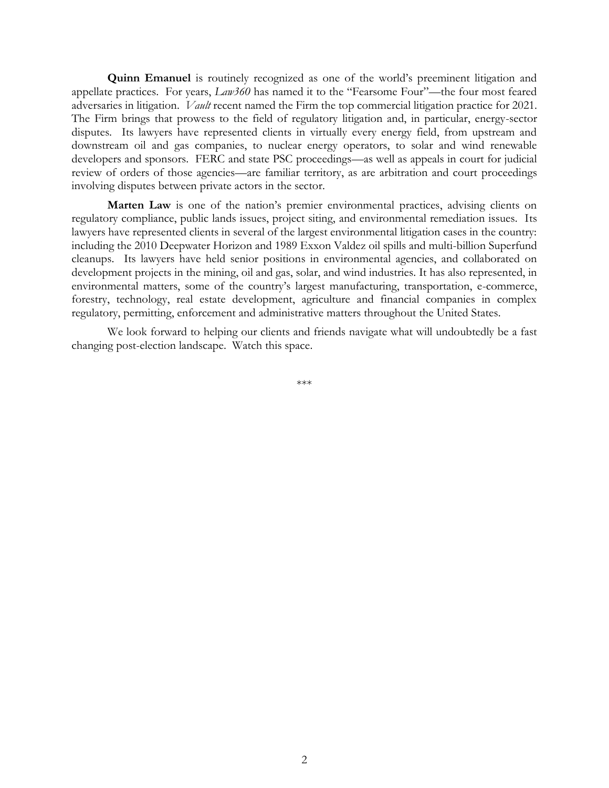**Quinn Emanuel** is routinely recognized as one of the world's preeminent litigation and appellate practices. For years, *Law360* has named it to the "Fearsome Four"—the four most feared adversaries in litigation. *Vault* recent named the Firm the top commercial litigation practice for 2021. The Firm brings that prowess to the field of regulatory litigation and, in particular, energy-sector disputes. Its lawyers have represented clients in virtually every energy field, from upstream and downstream oil and gas companies, to nuclear energy operators, to solar and wind renewable developers and sponsors. FERC and state PSC proceedings—as well as appeals in court for judicial review of orders of those agencies—are familiar territory, as are arbitration and court proceedings involving disputes between private actors in the sector.

**Marten Law** is one of the nation's premier environmental practices, advising clients on regulatory compliance, public lands issues, project siting, and environmental remediation issues. Its lawyers have represented clients in several of the largest environmental litigation cases in the country: including the 2010 Deepwater Horizon and 1989 Exxon Valdez oil spills and multi-billion Superfund cleanups. Its lawyers have held senior positions in environmental agencies, and collaborated on development projects in the mining, oil and gas, solar, and wind industries. It has also represented, in environmental matters, some of the country's largest manufacturing, transportation, e-commerce, forestry, technology, real estate development, agriculture and financial companies in complex regulatory, permitting, enforcement and administrative matters throughout the United States.

We look forward to helping our clients and friends navigate what will undoubtedly be a fast changing post-election landscape. Watch this space.

\*\*\*